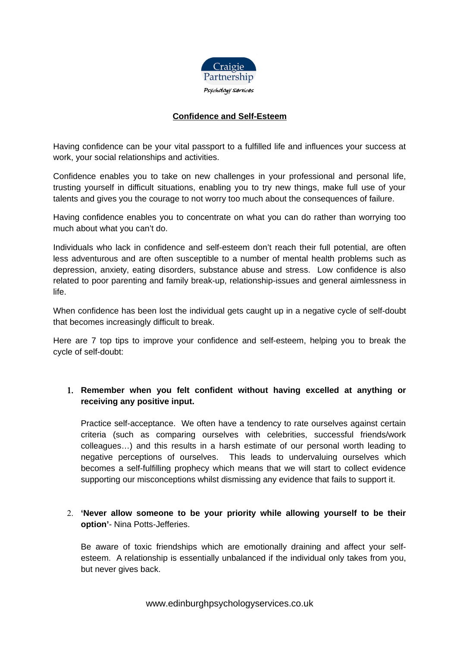

## **Confidence and Self-Esteem**

Having confidence can be your vital passport to a fulfilled life and influences your success at work, your social relationships and activities.

Confidence enables you to take on new challenges in your professional and personal life, trusting yourself in difficult situations, enabling you to try new things, make full use of your talents and gives you the courage to not worry too much about the consequences of failure.

Having confidence enables you to concentrate on what you can do rather than worrying too much about what you can't do.

Individuals who lack in confidence and self-esteem don't reach their full potential, are often less adventurous and are often susceptible to a number of mental health problems such as depression, anxiety, eating disorders, substance abuse and stress. Low confidence is also related to poor parenting and family break-up, relationship-issues and general aimlessness in life.

When confidence has been lost the individual gets caught up in a negative cycle of self-doubt that becomes increasingly difficult to break.

Here are 7 top tips to improve your confidence and self-esteem, helping you to break the cycle of self-doubt:

# 1. **Remember when you felt confident without having excelled at anything or receiving any positive input.**

Practice self-acceptance. We often have a tendency to rate ourselves against certain criteria (such as comparing ourselves with celebrities, successful friends/work colleagues…) and this results in a harsh estimate of our personal worth leading to negative perceptions of ourselves. This leads to undervaluing ourselves which becomes a self-fulfilling prophecy which means that we will start to collect evidence supporting our misconceptions whilst dismissing any evidence that fails to support it.

# 2. **'Never allow someone to be your priority while allowing yourself to be their option'**- Nina Potts-Jefferies.

Be aware of toxic friendships which are emotionally draining and affect your selfesteem. A relationship is essentially unbalanced if the individual only takes from you, but never gives back.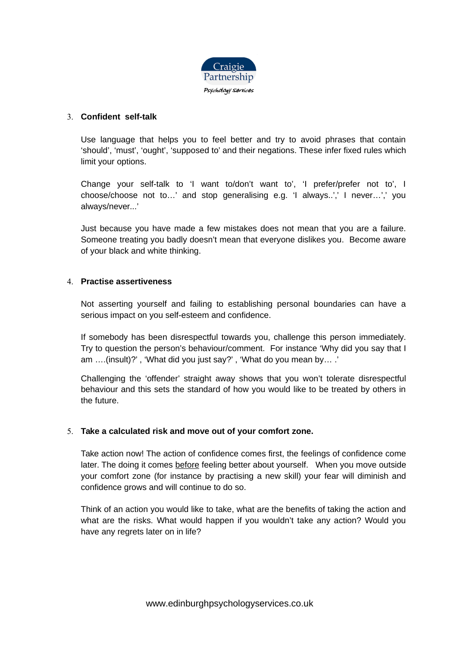

#### 3. **Confident self-talk**

Use language that helps you to feel better and try to avoid phrases that contain 'should', 'must', 'ought', 'supposed to' and their negations. These infer fixed rules which limit your options.

Change your self-talk to 'I want to/don't want to', 'I prefer/prefer not to', I choose/choose not to…' and stop generalising e.g. 'I always..',' I never…',' you always/never...'

Just because you have made a few mistakes does not mean that you are a failure. Someone treating you badly doesn't mean that everyone dislikes you. Become aware of your black and white thinking.

#### 4. **Practise assertiveness**

Not asserting yourself and failing to establishing personal boundaries can have a serious impact on you self-esteem and confidence.

If somebody has been disrespectful towards you, challenge this person immediately. Try to question the person's behaviour/comment. For instance 'Why did you say that I am ….(insult)?' , 'What did you just say?' , 'What do you mean by… .'

Challenging the 'offender' straight away shows that you won't tolerate disrespectful behaviour and this sets the standard of how you would like to be treated by others in the future.

#### 5. **Take a calculated risk and move out of your comfort zone.**

Take action now! The action of confidence comes first, the feelings of confidence come later. The doing it comes before feeling better about yourself. When you move outside your comfort zone (for instance by practising a new skill) your fear will diminish and confidence grows and will continue to do so.

Think of an action you would like to take, what are the benefits of taking the action and what are the risks. What would happen if you wouldn't take any action? Would you have any regrets later on in life?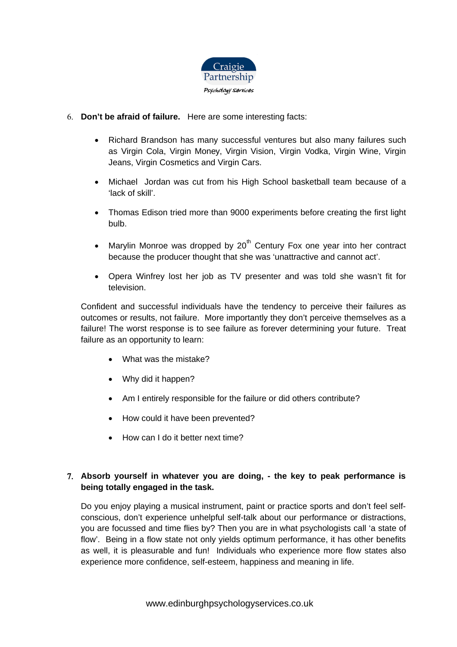

- 6. **Don't be afraid of failure.** Here are some interesting facts:
	- Richard Brandson has many successful ventures but also many failures such as Virgin Cola, Virgin Money, Virgin Vision, Virgin Vodka, Virgin Wine, Virgin Jeans, Virgin Cosmetics and Virgin Cars.
	- Michael Jordan was cut from his High School basketball team because of a 'lack of skill'.
	- Thomas Edison tried more than 9000 experiments before creating the first light bulb.
	- Marylin Monroe was dropped by  $20<sup>th</sup>$  Century Fox one year into her contract because the producer thought that she was 'unattractive and cannot act'.
	- Opera Winfrey lost her job as TV presenter and was told she wasn't fit for television.

Confident and successful individuals have the tendency to perceive their failures as outcomes or results, not failure. More importantly they don't perceive themselves as a failure! The worst response is to see failure as forever determining your future. Treat failure as an opportunity to learn:

- What was the mistake?
- Why did it happen?
- Am I entirely responsible for the failure or did others contribute?
- How could it have been prevented?
- How can I do it better next time?

# 7. **Absorb yourself in whatever you are doing, - the key to peak performance is being totally engaged in the task.**

Do you enjoy playing a musical instrument, paint or practice sports and don't feel selfconscious, don't experience unhelpful self-talk about our performance or distractions, you are focussed and time flies by? Then you are in what psychologists call 'a state of flow'. Being in a flow state not only yields optimum performance, it has other benefits as well, it is pleasurable and fun! Individuals who experience more flow states also experience more confidence, self-esteem, happiness and meaning in life.